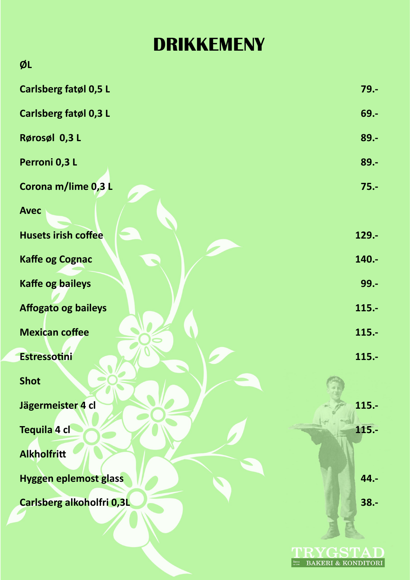## **DRIKKEMENY**

| ØL                           |          |
|------------------------------|----------|
| Carlsberg fatøl 0,5 L        | $79. -$  |
| Carlsberg fatøl 0,3 L        | $69. -$  |
| Rørosøl 0,3 L                | $89. -$  |
| Perroni 0,3 L                | 89.-     |
| Corona m/lime 0,3 L          | $75. -$  |
| <b>Avec</b>                  |          |
| <b>Husets irish coffee</b>   | 129.-    |
| <b>Kaffe og Cognac</b>       | 140.-    |
| <b>Kaffe og baileys</b>      | $99. -$  |
| <b>Affogato og baileys</b>   | $115. -$ |
| <b>Mexican coffee</b>        | $115. -$ |
| <b>Estressotini</b>          | $115. -$ |
| <b>Shot</b>                  |          |
| Jägermeister 4 cl            | $115. -$ |
| Tequila 4 cl                 | 115.-    |
| <b>Alkholfritt</b>           |          |
| <b>Hyggen eplemost glass</b> | 44.-     |
| Carlsberg alkoholfri 0,3L    | $38. -$  |
|                              |          |
|                              |          |

TRYGSTAD BAKERI & KONDITORI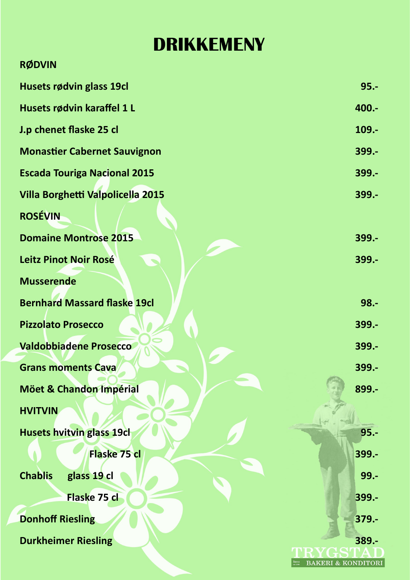## **DRIKKEMENY**

| <b>RØDVIN</b>                       |               |
|-------------------------------------|---------------|
| Husets rødvin glass 19cl            | $95 -$        |
| Husets rødvin karaffel 1 L          | 400 .-        |
| J.p chenet flaske 25 cl             | $109 -$       |
| <b>Monastier Cabernet Sauvignon</b> | $399 -$       |
| <b>Escada Touriga Nacional 2015</b> | 399 .-        |
| Villa Borghetti Valpolicella 2015   | 399 .-        |
| <b>ROSÉVIN</b>                      |               |
| <b>Domaine Montrose 2015</b>        | 399 .-        |
| Leitz Pinot Noir Rosé               | 399 .-        |
| <b>Musserende</b>                   |               |
| <b>Bernhard Massard flaske 19cl</b> | $98 -$        |
| <b>Pizzolato Prosecco</b>           | 399 .-        |
| <b>Valdobbiadene Prosecco</b>       | $399 -$       |
| <b>Grans moments Cava</b>           | $399 -$       |
| <b>Möet &amp; Chandon Impérial</b>  | 899.-         |
| <b>HVITVIN</b>                      |               |
| <b>Husets hvitvin glass 19cl</b>    | $95. -$       |
| Flaske 75 cl                        | 399.-         |
| <b>Chablis</b><br>glass 19 cl       | $99 -$        |
| Flaske 75 cl                        | 399.-         |
| <b>Donhoff Riesling</b>             | $379 -$       |
| <b>Durkheimer Riesling</b>          | 389.-         |
|                                     | $\&$ KONDITOR |
|                                     |               |